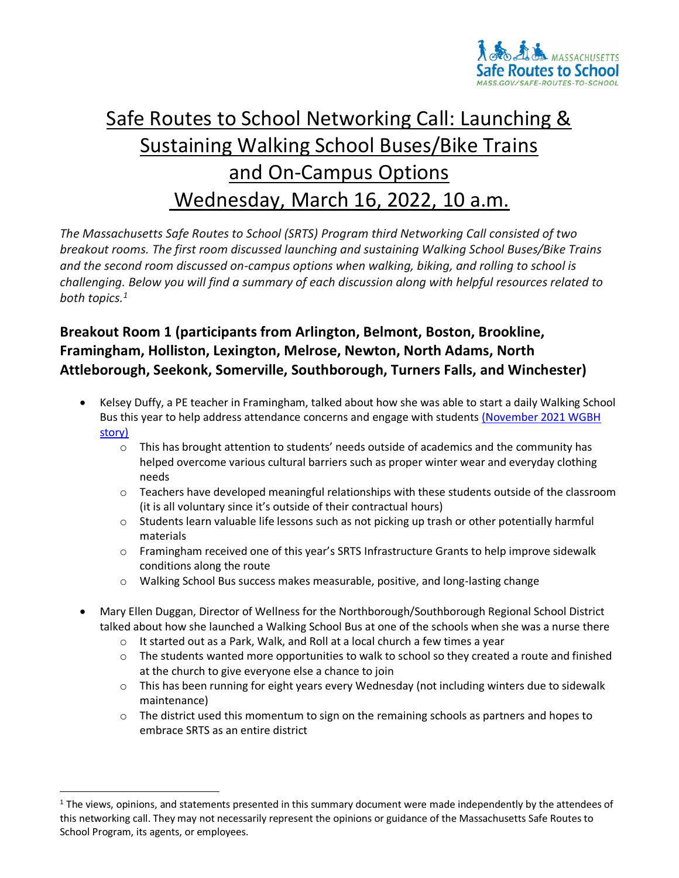

## Safe Routes to School Networking Call: Launching & Sustaining Walking School Buses/Bike Trains and On-Campus Options Wednesday, March 16, 2022, 10 a.m.

 *The Massachusetts Safe Routes to School (SRTS) Program third Networking Call consisted of two breakout rooms. The first room discussed launching and sustaining Walking School Buses/Bike Trains and the second room discussed on-campus options when walking, biking, and rolling to school is challenging. Below you will find a summary of each discussion along with helpful resources related to both topics. 1* 

## **Breakout Room 1 (participants from Arlington, Belmont, Boston, Brookline, Framingham, Holliston, Lexington, Melrose, Newton, North Adams, North Attleborough, Seekonk, Somerville, Southborough, Turners Falls, and Winchester)**

- • Kelsey Duffy, a PE teacher in Framingham, talked about how she was able to start a daily Walking School Bus this year to help address attendance concerns and engage with students (November 2021 WGBH [story\)](https://www.wgbh.org/news/education/2021/11/15/walking-to-school-gains-renewed-interest-in-pandemic) 
	- $\circ$  This has brought attention to students' needs outside of academics and the community has helped overcome various cultural barriers such as proper winter wear and everyday clothing needs
	- $\circ$  Teachers have developed meaningful relationships with these students outside of the classroom (it is all voluntary since it's outside of their contractual hours)
	- o Students learn valuable life lessons such as not picking up trash or other potentially harmful materials
	- o Framingham received one of this year's SRTS Infrastructure Grants to help improve sidewalk conditions along the route
	- o Walking School Bus success makes measurable, positive, and long-lasting change
- • Mary Ellen Duggan, Director of Wellness for the Northborough/Southborough Regional School District talked about how she launched a Walking School Bus at one of the schools when she was a nurse there
	- $\circ$  It started out as a Park, Walk, and Roll at a local church a few times a year
	- $\circ$  The students wanted more opportunities to walk to school so they created a route and finished at the church to give everyone else a chance to join
	- $\circ$  This has been running for eight years every Wednesday (not including winters due to sidewalk maintenance)
	- $\circ$  The district used this momentum to sign on the remaining schools as partners and hopes to embrace SRTS as an entire district

 $1$  The views, opinions, and statements presented in this summary document were made independently by the attendees of this networking call. They may not necessarily represent the opinions or guidance of the Massachusetts Safe Routes to School Program, its agents, or employees.